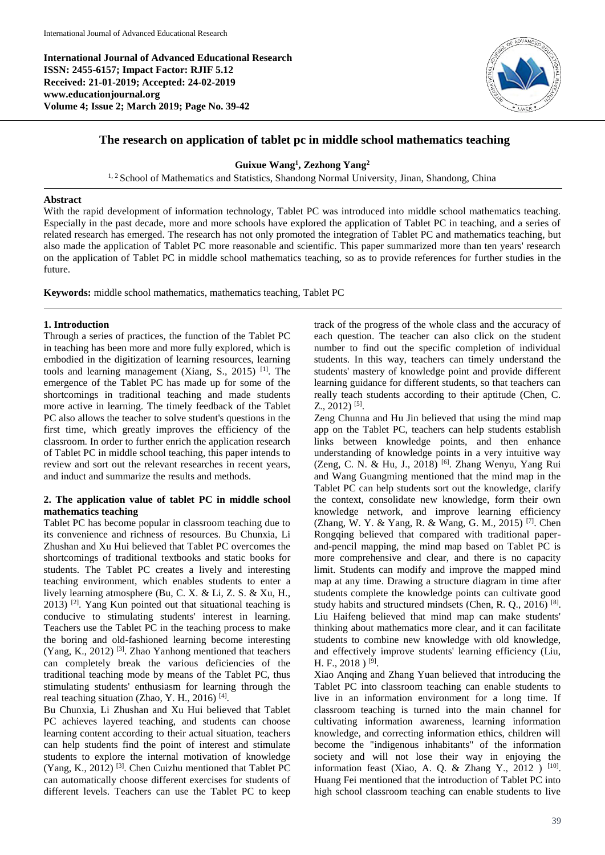**International Journal of Advanced Educational Research ISSN: 2455-6157; Impact Factor: RJIF 5.12 Received: 21-01-2019; Accepted: 24-02-2019 www.educationjournal.org Volume 4; Issue 2; March 2019; Page No. 39-42**



# **The research on application of tablet pc in middle school mathematics teaching**

**Guixue Wang<sup>1</sup> , Zezhong Yang<sup>2</sup>**

<sup>1, 2</sup> School of Mathematics and Statistics, Shandong Normal University, Jinan, Shandong, China

#### **Abstract**

With the rapid development of information technology, Tablet PC was introduced into middle school mathematics teaching. Especially in the past decade, more and more schools have explored the application of Tablet PC in teaching, and a series of related research has emerged. The research has not only promoted the integration of Tablet PC and mathematics teaching, but also made the application of Tablet PC more reasonable and scientific. This paper summarized more than ten years' research on the application of Tablet PC in middle school mathematics teaching, so as to provide references for further studies in the future.

**Keywords:** middle school mathematics, mathematics teaching, Tablet PC

### **1. Introduction**

Through a series of practices, the function of the Tablet PC in teaching has been more and more fully explored, which is embodied in the digitization of learning resources, learning tools and learning management (Xiang, S., 2015) [1]. The emergence of the Tablet PC has made up for some of the shortcomings in traditional teaching and made students more active in learning. The timely feedback of the Tablet PC also allows the teacher to solve student's questions in the first time, which greatly improves the efficiency of the classroom. In order to further enrich the application research of Tablet PC in middle school teaching, this paper intends to review and sort out the relevant researches in recent years, and induct and summarize the results and methods.

### **2. The application value of tablet PC in middle school mathematics teaching**

Tablet PC has become popular in classroom teaching due to its convenience and richness of resources. Bu Chunxia, Li Zhushan and Xu Hui believed that Tablet PC overcomes the shortcomings of traditional textbooks and static books for students. The Tablet PC creates a lively and interesting teaching environment, which enables students to enter a lively learning atmosphere (Bu, C. X. & Li, Z. S. & Xu, H., 2013) [2]. Yang Kun pointed out that situational teaching is conducive to stimulating students' interest in learning. Teachers use the Tablet PC in the teaching process to make the boring and old-fashioned learning become interesting (Yang, K., 2012) [3]. Zhao Yanhong mentioned that teachers can completely break the various deficiencies of the traditional teaching mode by means of the Tablet PC, thus stimulating students' enthusiasm for learning through the real teaching situation (Zhao, Y. H., 2016)<sup>[4]</sup>.

Bu Chunxia, Li Zhushan and Xu Hui believed that Tablet PC achieves layered teaching, and students can choose learning content according to their actual situation, teachers can help students find the point of interest and stimulate students to explore the internal motivation of knowledge (Yang, K., 2012) [3]. Chen Cuizhu mentioned that Tablet PC can automatically choose different exercises for students of different levels. Teachers can use the Tablet PC to keep

track of the progress of the whole class and the accuracy of each question. The teacher can also click on the student number to find out the specific completion of individual students. In this way, teachers can timely understand the students' mastery of knowledge point and provide different learning guidance for different students, so that teachers can really teach students according to their aptitude (Chen, C.  $Z_{\cdot}$ , 2012)<sup>[5]</sup>.

Zeng Chunna and Hu Jin believed that using the mind map app on the Tablet PC, teachers can help students establish links between knowledge points, and then enhance understanding of knowledge points in a very intuitive way (Zeng, C. N. & Hu, J., 2018) [6]. Zhang Wenyu, Yang Rui and Wang Guangming mentioned that the mind map in the Tablet PC can help students sort out the knowledge, clarify the context, consolidate new knowledge, form their own knowledge network, and improve learning efficiency (Zhang, W. Y. & Yang, R. & Wang, G. M., 2015)<sup>[7]</sup>. Chen Rongqing believed that compared with traditional paperand-pencil mapping, the mind map based on Tablet PC is more comprehensive and clear, and there is no capacity limit. Students can modify and improve the mapped mind map at any time. Drawing a structure diagram in time after students complete the knowledge points can cultivate good study habits and structured mindsets (Chen, R. Q., 2016)<sup>[8]</sup>. Liu Haifeng believed that mind map can make students' thinking about mathematics more clear, and it can facilitate students to combine new knowledge with old knowledge, and effectively improve students' learning efficiency (Liu, H. F., 2018 )  $^{[9]}$ .

Xiao Anqing and Zhang Yuan believed that introducing the Tablet PC into classroom teaching can enable students to live in an information environment for a long time. If classroom teaching is turned into the main channel for cultivating information awareness, learning information knowledge, and correcting information ethics, children will become the "indigenous inhabitants" of the information society and will not lose their way in enjoying the information feast (Xiao, A. Q. & Zhang Y., 2012 ) <sup>[10]</sup>. Huang Fei mentioned that the introduction of Tablet PC into high school classroom teaching can enable students to live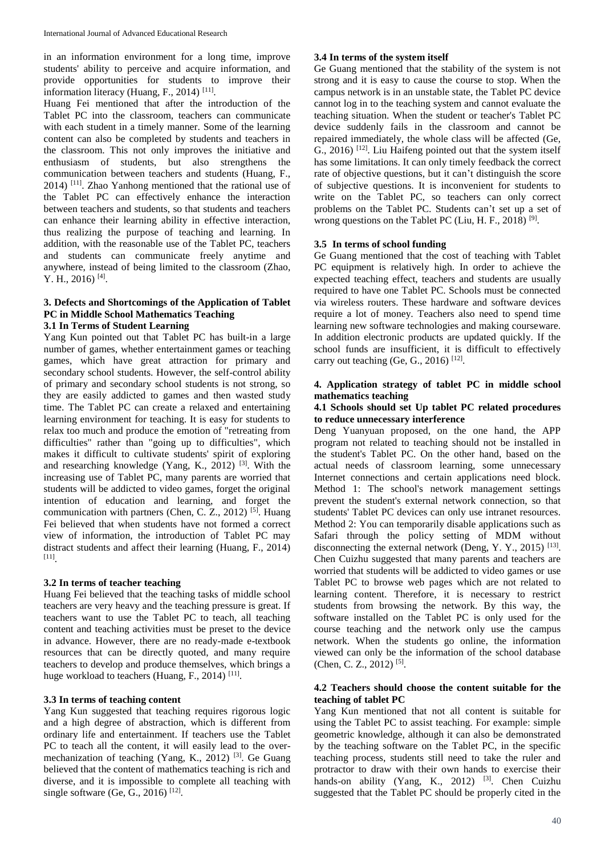in an information environment for a long time, improve students' ability to perceive and acquire information, and provide opportunities for students to improve their information literacy (Huang, F., 2014)<sup>[11]</sup>.

Huang Fei mentioned that after the introduction of the Tablet PC into the classroom, teachers can communicate with each student in a timely manner. Some of the learning content can also be completed by students and teachers in the classroom. This not only improves the initiative and enthusiasm of students, but also strengthens the communication between teachers and students (Huang, F., 2014) [11]. Zhao Yanhong mentioned that the rational use of the Tablet PC can effectively enhance the interaction between teachers and students, so that students and teachers can enhance their learning ability in effective interaction, thus realizing the purpose of teaching and learning. In addition, with the reasonable use of the Tablet PC, teachers and students can communicate freely anytime and anywhere, instead of being limited to the classroom (Zhao, Y. H., 2016)<sup>[4]</sup>.

### **3. Defects and Shortcomings of the Application of Tablet PC in Middle School Mathematics Teaching 3.1 In Terms of Student Learning**

Yang Kun pointed out that Tablet PC has built-in a large number of games, whether entertainment games or teaching games, which have great attraction for primary and secondary school students. However, the self-control ability of primary and secondary school students is not strong, so they are easily addicted to games and then wasted study time. The Tablet PC can create a relaxed and entertaining learning environment for teaching. It is easy for students to relax too much and produce the emotion of "retreating from difficulties" rather than "going up to difficulties", which makes it difficult to cultivate students' spirit of exploring and researching knowledge (Yang, K., 2012) [3]. With the increasing use of Tablet PC, many parents are worried that students will be addicted to video games, forget the original intention of education and learning, and forget the communication with partners (Chen, C. Z., 2012) <sup>[5]</sup>. Huang Fei believed that when students have not formed a correct view of information, the introduction of Tablet PC may distract students and affect their learning (Huang, F., 2014) [11] .

### **3.2 In terms of teacher teaching**

Huang Fei believed that the teaching tasks of middle school teachers are very heavy and the teaching pressure is great. If teachers want to use the Tablet PC to teach, all teaching content and teaching activities must be preset to the device in advance. However, there are no ready-made e-textbook resources that can be directly quoted, and many require teachers to develop and produce themselves, which brings a huge workload to teachers (Huang, F., 2014)<sup>[11]</sup>.

# **3.3 In terms of teaching content**

Yang Kun suggested that teaching requires rigorous logic and a high degree of abstraction, which is different from ordinary life and entertainment. If teachers use the Tablet PC to teach all the content, it will easily lead to the overmechanization of teaching (Yang, K., 2012) [3]. Ge Guang believed that the content of mathematics teaching is rich and diverse, and it is impossible to complete all teaching with single software (Ge, G., 2016)<sup>[12]</sup>.

### **3.4 In terms of the system itself**

Ge Guang mentioned that the stability of the system is not strong and it is easy to cause the course to stop. When the campus network is in an unstable state, the Tablet PC device cannot log in to the teaching system and cannot evaluate the teaching situation. When the student or teacher's Tablet PC device suddenly fails in the classroom and cannot be repaired immediately, the whole class will be affected (Ge, G., 2016) [12]. Liu Haifeng pointed out that the system itself has some limitations. It can only timely feedback the correct rate of objective questions, but it can't distinguish the score of subjective questions. It is inconvenient for students to write on the Tablet PC, so teachers can only correct problems on the Tablet PC. Students can't set up a set of wrong questions on the Tablet PC (Liu, H. F., 2018)<sup>[9]</sup>.

### **3.5 In terms of school funding**

Ge Guang mentioned that the cost of teaching with Tablet PC equipment is relatively high. In order to achieve the expected teaching effect, teachers and students are usually required to have one Tablet PC. Schools must be connected via wireless routers. These hardware and software devices require a lot of money. Teachers also need to spend time learning new software technologies and making courseware. In addition electronic products are updated quickly. If the school funds are insufficient, it is difficult to effectively carry out teaching (Ge, G., 2016)<sup>[12]</sup>.

## **4. Application strategy of tablet PC in middle school mathematics teaching**

### **4.1 Schools should set Up tablet PC related procedures to reduce unnecessary interference**

Deng Yuanyuan proposed, on the one hand, the APP program not related to teaching should not be installed in the student's Tablet PC. On the other hand, based on the actual needs of classroom learning, some unnecessary Internet connections and certain applications need block. Method 1: The school's network management settings prevent the student's external network connection, so that students' Tablet PC devices can only use intranet resources. Method 2: You can temporarily disable applications such as Safari through the policy setting of MDM without disconnecting the external network (Deng, Y. Y., 2015)<sup>[13]</sup>. Chen Cuizhu suggested that many parents and teachers are worried that students will be addicted to video games or use Tablet PC to browse web pages which are not related to learning content. Therefore, it is necessary to restrict students from browsing the network. By this way, the software installed on the Tablet PC is only used for the course teaching and the network only use the campus network. When the students go online, the information viewed can only be the information of the school database (Chen, C. Z., 2012)<sup>[5]</sup>.

### **4.2 Teachers should choose the content suitable for the teaching of tablet PC**

Yang Kun mentioned that not all content is suitable for using the Tablet PC to assist teaching. For example: simple geometric knowledge, although it can also be demonstrated by the teaching software on the Tablet PC, in the specific teaching process, students still need to take the ruler and protractor to draw with their own hands to exercise their hands-on ability (Yang, K., 2012) <sup>[3]</sup>. Chen Cuizhu suggested that the Tablet PC should be properly cited in the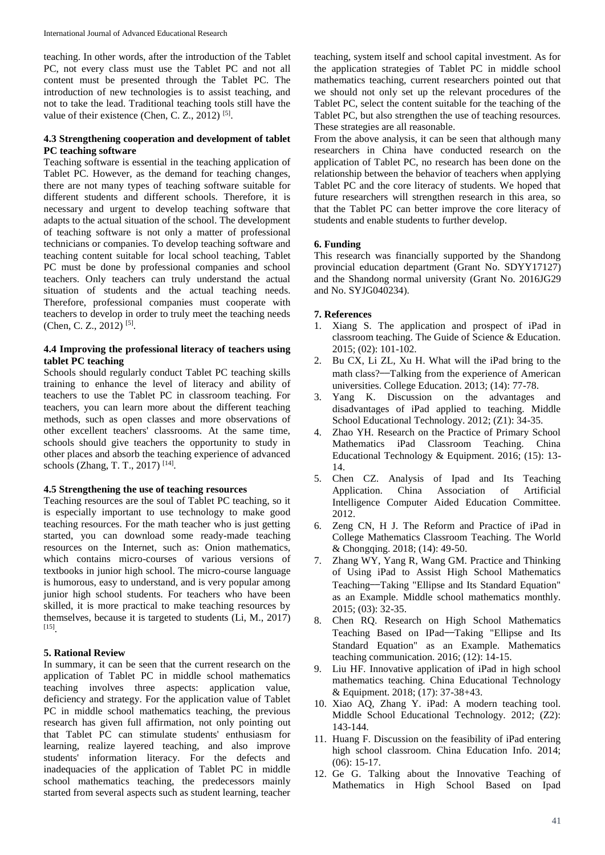teaching. In other words, after the introduction of the Tablet PC, not every class must use the Tablet PC and not all content must be presented through the Tablet PC. The introduction of new technologies is to assist teaching, and not to take the lead. Traditional teaching tools still have the value of their existence (Chen, C. Z., 2012)<sup>[5]</sup>.

## **4.3 Strengthening cooperation and development of tablet PC teaching software**

Teaching software is essential in the teaching application of Tablet PC. However, as the demand for teaching changes, there are not many types of teaching software suitable for different students and different schools. Therefore, it is necessary and urgent to develop teaching software that adapts to the actual situation of the school. The development of teaching software is not only a matter of professional technicians or companies. To develop teaching software and teaching content suitable for local school teaching, Tablet PC must be done by professional companies and school teachers. Only teachers can truly understand the actual situation of students and the actual teaching needs. Therefore, professional companies must cooperate with teachers to develop in order to truly meet the teaching needs (Chen, C. Z., 2012)<sup>[5]</sup>.

## **4.4 Improving the professional literacy of teachers using tablet PC teaching**

Schools should regularly conduct Tablet PC teaching skills training to enhance the level of literacy and ability of teachers to use the Tablet PC in classroom teaching. For teachers, you can learn more about the different teaching methods, such as open classes and more observations of other excellent teachers' classrooms. At the same time, schools should give teachers the opportunity to study in other places and absorb the teaching experience of advanced schools (Zhang, T. T., 2017)<sup>[14]</sup>.

### **4.5 Strengthening the use of teaching resources**

Teaching resources are the soul of Tablet PC teaching, so it is especially important to use technology to make good teaching resources. For the math teacher who is just getting started, you can download some ready-made teaching resources on the Internet, such as: Onion mathematics, which contains micro-courses of various versions of textbooks in junior high school. The micro-course language is humorous, easy to understand, and is very popular among junior high school students. For teachers who have been skilled, it is more practical to make teaching resources by themselves, because it is targeted to students (Li, M., 2017) [15] .

### **5. Rational Review**

In summary, it can be seen that the current research on the application of Tablet PC in middle school mathematics teaching involves three aspects: application value, deficiency and strategy. For the application value of Tablet PC in middle school mathematics teaching, the previous research has given full affirmation, not only pointing out that Tablet PC can stimulate students' enthusiasm for learning, realize layered teaching, and also improve students' information literacy. For the defects and inadequacies of the application of Tablet PC in middle school mathematics teaching, the predecessors mainly started from several aspects such as student learning, teacher

teaching, system itself and school capital investment. As for the application strategies of Tablet PC in middle school mathematics teaching, current researchers pointed out that we should not only set up the relevant procedures of the Tablet PC, select the content suitable for the teaching of the Tablet PC, but also strengthen the use of teaching resources. These strategies are all reasonable.

From the above analysis, it can be seen that although many researchers in China have conducted research on the application of Tablet PC, no research has been done on the relationship between the behavior of teachers when applying Tablet PC and the core literacy of students. We hoped that future researchers will strengthen research in this area, so that the Tablet PC can better improve the core literacy of students and enable students to further develop.

### **6. Funding**

This research was financially supported by the Shandong provincial education department (Grant No. SDYY17127) and the Shandong normal university (Grant No. 2016JG29 and No. SYJG040234).

#### **7. References**

- 1. Xiang S. The application and prospect of iPad in classroom teaching. The Guide of Science & Education. 2015; (02): 101-102.
- 2. Bu CX, Li ZL, Xu H. What will the iPad bring to the math class?——Talking from the experience of American universities. College Education. 2013; (14): 77-78.
- 3. Yang K. Discussion on the advantages and disadvantages of iPad applied to teaching. Middle School Educational Technology. 2012; (Z1): 34-35.
- 4. Zhao YH. Research on the Practice of Primary School Mathematics iPad Classroom Teaching. China Educational Technology & Equipment. 2016; (15): 13- 14.
- 5. Chen CZ. Analysis of Ipad and Its Teaching Application. China Association of Artificial Intelligence Computer Aided Education Committee. 2012.
- 6. Zeng CN, H J. The Reform and Practice of iPad in College Mathematics Classroom Teaching. The World & Chongqing. 2018; (14): 49-50.
- 7. Zhang WY, Yang R, Wang GM. Practice and Thinking of Using iPad to Assist High School Mathematics Teaching——Taking "Ellipse and Its Standard Equation" as an Example. Middle school mathematics monthly. 2015; (03): 32-35.
- 8. Chen RQ. Research on High School Mathematics Teaching Based on IPad——Taking "Ellipse and Its Standard Equation" as an Example. Mathematics teaching communication. 2016; (12): 14-15.
- 9. Liu HF. Innovative application of iPad in high school mathematics teaching. China Educational Technology & Equipment. 2018; (17): 37-38+43.
- 10. Xiao AQ, Zhang Y. iPad: A modern teaching tool. Middle School Educational Technology. 2012; (Z2): 143-144.
- 11. Huang F. Discussion on the feasibility of iPad entering high school classroom. China Education Info. 2014; (06): 15-17.
- 12. Ge G. Talking about the Innovative Teaching of Mathematics in High School Based on Ipad